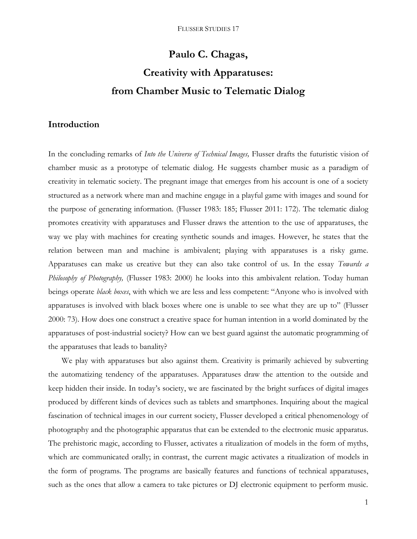# **Paulo C. Chagas, Creativity with Apparatuses: from Chamber Music to Telematic Dialog**

# **Introduction**

In the concluding remarks of *Into the Universe of Technical Images,* Flusser drafts the futuristic vision of chamber music as a prototype of telematic dialog. He suggests chamber music as a paradigm of creativity in telematic society. The pregnant image that emerges from his account is one of a society structured as a network where man and machine engage in a playful game with images and sound for the purpose of generating information. (Flusser 1983: 185; Flusser 2011: 172). The telematic dialog promotes creativity with apparatuses and Flusser draws the attention to the use of apparatuses, the way we play with machines for creating synthetic sounds and images. However, he states that the relation between man and machine is ambivalent; playing with apparatuses is a risky game. Apparatuses can make us creative but they can also take control of us. In the essay *Towards a Philosophy of Photography,* (Flusser 1983: 2000) he looks into this ambivalent relation. Today human beings operate *black boxes*, with which we are less and less competent: "Anyone who is involved with apparatuses is involved with black boxes where one is unable to see what they are up to" (Flusser 2000: 73). How does one construct a creative space for human intention in a world dominated by the apparatuses of post-industrial society? How can we best guard against the automatic programming of the apparatuses that leads to banality?

We play with apparatuses but also against them. Creativity is primarily achieved by subverting the automatizing tendency of the apparatuses. Apparatuses draw the attention to the outside and keep hidden their inside. In today's society, we are fascinated by the bright surfaces of digital images produced by different kinds of devices such as tablets and smartphones. Inquiring about the magical fascination of technical images in our current society, Flusser developed a critical phenomenology of photography and the photographic apparatus that can be extended to the electronic music apparatus. The prehistoric magic, according to Flusser, activates a ritualization of models in the form of myths, which are communicated orally; in contrast, the current magic activates a ritualization of models in the form of programs. The programs are basically features and functions of technical apparatuses, such as the ones that allow a camera to take pictures or DJ electronic equipment to perform music.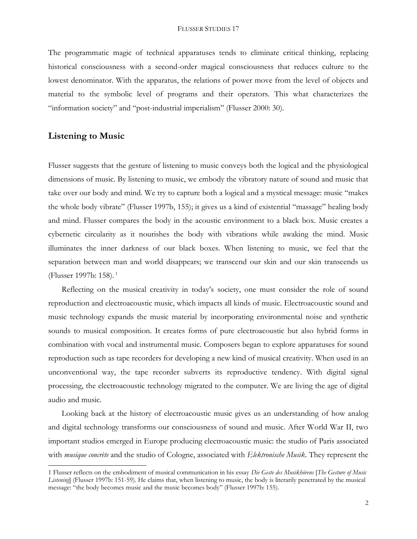The programmatic magic of technical apparatuses tends to eliminate critical thinking, replacing historical consciousness with a second-order magical consciousness that reduces culture to the lowest denominator. With the apparatus, the relations of power move from the level of objects and material to the symbolic level of programs and their operators. This what characterizes the "information society" and "post-industrial imperialism" (Flusser 2000: 30).

# **Listening to Music**

l

Flusser suggests that the gesture of listening to music conveys both the logical and the physiological dimensions of music. By listening to music, we embody the vibratory nature of sound and music that take over our body and mind. We try to capture both a logical and a mystical message: music "makes the whole body vibrate" (Flusser 1997b, 155); it gives us a kind of existential "massage" healing body and mind. Flusser compares the body in the acoustic environment to a black box. Music creates a cybernetic circularity as it nourishes the body with vibrations while awaking the mind. Music illuminates the inner darkness of our black boxes. When listening to music, we feel that the separation between man and world disappears; we transcend our skin and our skin transcends us (Flusser 1997b: 158). <sup>1</sup>

Reflecting on the musical creativity in today's society, one must consider the role of sound reproduction and electroacoustic music, which impacts all kinds of music. Electroacoustic sound and music technology expands the music material by incorporating environmental noise and synthetic sounds to musical composition. It creates forms of pure electroacoustic but also hybrid forms in combination with vocal and instrumental music. Composers began to explore apparatuses for sound reproduction such as tape recorders for developing a new kind of musical creativity. When used in an unconventional way, the tape recorder subverts its reproductive tendency. With digital signal processing, the electroacoustic technology migrated to the computer. We are living the age of digital audio and music.

Looking back at the history of electroacoustic music gives us an understanding of how analog and digital technology transforms our consciousness of sound and music. After World War II, two important studios emerged in Europe producing electroacoustic music: the studio of Paris associated with *musique concrète* and the studio of Cologne, associated with *Elektronische Musik*. They represent the

<sup>1</sup> Flusser reflects on the embodiment of musical communication in his essay *Die Geste des Musikhörens* [*The Gesture of Music Listening*] (Flusser 1997b: 151-59). He claims that, when listening to music, the body is literarily penetrated by the musical message: "the body becomes music and the music becomes body" (Flusser 1997b: 155).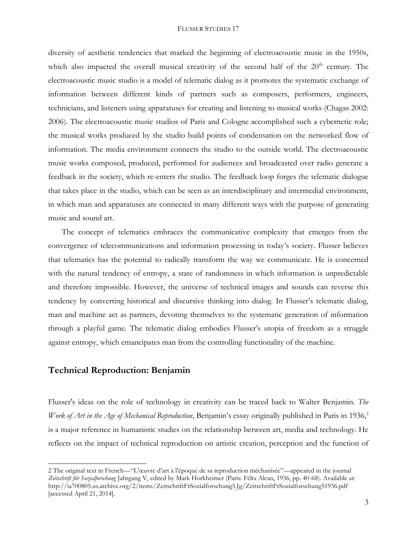diversity of aesthetic tendencies that marked the beginning of electroacoustic music in the 1950s, which also impacted the overall musical creativity of the second half of the  $20<sup>th</sup>$  century. The electroacoustic music studio is a model of telematic dialog as it promotes the systematic exchange of information between different kinds of partners such as composers, performers, engineers, technicians, and listeners using apparatuses for creating and listening to musical works (Chagas 2002: 2006). The electroacoustic music studios of Paris and Cologne accomplished such a cybernetic role; the musical works produced by the studio build points of condensation on the networked flow of information. The media environment connects the studio to the outside world. The electroacoustic music works composed, produced, performed for audiences and broadcasted over radio generate a feedback in the society, which re-enters the studio. The feedback loop forges the telematic dialogue that takes place in the studio, which can be seen as an interdisciplinary and intermedial environment, in which man and apparatuses are connected in many different ways with the purpose of generating music and sound art.

The concept of telematics embraces the communicative complexity that emerges from the convergence of telecommunications and information processing in today's society. Flusser believes that telematics has the potential to radically transform the way we communicate. He is concerned with the natural tendency of entropy, a state of randomness in which information is unpredictable and therefore impossible. However, the universe of technical images and sounds can reverse this tendency by converting historical and discursive thinking into dialog. In Flusser's telematic dialog, man and machine act as partners, devoting themselves to the systematic generation of information through a playful game. The telematic dialog embodies Flusser's utopia of freedom as a struggle against entropy, which emancipates man from the controlling functionality of the machine.

### **Technical Reproduction: Benjamin**

l

Flusser's ideas on the role of technology in creativity can be traced back to Walter Benjamin. *The Work of Art in the Age of Mechanical Reproduction*, Benjamin's essay originally published in Paris in 1936,<sup>2</sup> is a major reference in humanistic studies on the relationship between art, media and technology. He reflects on the impact of technical reproduction on artistic creation, perception and the function of

<sup>2</sup> The original text in French—"L'œuvre d'art à l'époque de sa reproduction méchanisée"—appeared in the journal *Zeitschrift für Sozialforschung* Jahrgang V, edited by Mark Horkheimer (Paris: Félix Alcan, 1936, pp. 40-68). Available at: <http://ia700805.us.archive.org/2/items/ZeitschriftFrSozialforschung5.Jg/ZeitschriftFrSozialforschung51936.pdf> [accessed April 21, 2014].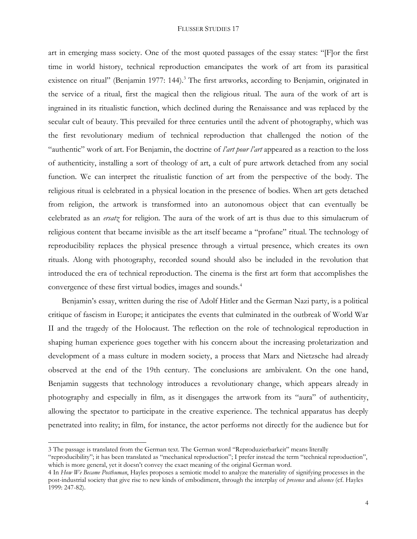art in emerging mass society. One of the most quoted passages of the essay states: "[F]or the first time in world history, technical reproduction emancipates the work of art from its parasitical existence on ritual" (Benjamin 1977: 144).<sup>3</sup> The first artworks, according to Benjamin, originated in the service of a ritual, first the magical then the religious ritual. The aura of the work of art is ingrained in its ritualistic function, which declined during the Renaissance and was replaced by the secular cult of beauty. This prevailed for three centuries until the advent of photography, which was the first revolutionary medium of technical reproduction that challenged the notion of the "authentic" work of art. For Benjamin, the doctrine of *l'art pour l'art* appeared as a reaction to the loss of authenticity, installing a sort of theology of art, a cult of pure artwork detached from any social function. We can interpret the ritualistic function of art from the perspective of the body. The religious ritual is celebrated in a physical location in the presence of bodies. When art gets detached from religion, the artwork is transformed into an autonomous object that can eventually be celebrated as an *ersatz* for religion. The aura of the work of art is thus due to this simulacrum of religious content that became invisible as the art itself became a "profane" ritual. The technology of reproducibility replaces the physical presence through a virtual presence, which creates its own rituals. Along with photography, recorded sound should also be included in the revolution that introduced the era of technical reproduction. The cinema is the first art form that accomplishes the convergence of these first virtual bodies, images and sounds.<sup>4</sup>

Benjamin's essay, written during the rise of Adolf Hitler and the German Nazi party, is a political critique of fascism in Europe; it anticipates the events that culminated in the outbreak of World War II and the tragedy of the Holocaust. The reflection on the role of technological reproduction in shaping human experience goes together with his concern about the increasing proletarization and development of a mass culture in modern society, a process that Marx and Nietzsche had already observed at the end of the 19th century. The conclusions are ambivalent. On the one hand, Benjamin suggests that technology introduces a revolutionary change, which appears already in photography and especially in film, as it disengages the artwork from its "aura" of authenticity, allowing the spectator to participate in the creative experience. The technical apparatus has deeply penetrated into reality; in film, for instance, the actor performs not directly for the audience but for

<sup>3</sup> The passage is translated from the German text. The German word "Reproduzierbarkeit" means literally

<sup>&</sup>quot;reproducibility"; it has been translated as "mechanical reproduction"; I prefer instead the term "technical reproduction", which is more general, yet it doesn't convey the exact meaning of the original German word.

<sup>4</sup> In *How We Became Posthuman*, Hayles proposes a semiotic model to analyze the materiality of signifying processes in the post-industrial society that give rise to new kinds of embodiment, through the interplay of *presence* and *absence* (cf. Hayles 1999: 247-82).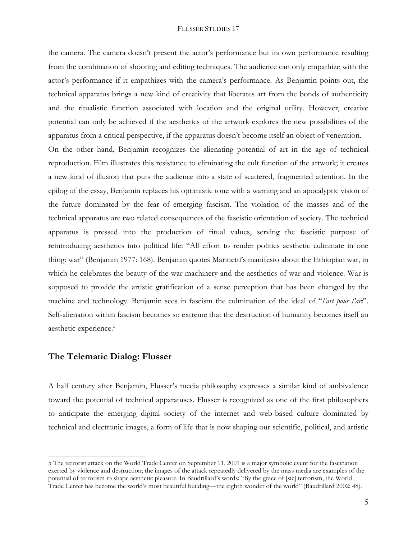the camera. The camera doesn't present the actor's performance but its own performance resulting from the combination of shooting and editing techniques. The audience can only empathize with the actor's performance if it empathizes with the camera's performance. As Benjamin points out, the technical apparatus brings a new kind of creativity that liberates art from the bonds of authenticity and the ritualistic function associated with location and the original utility. However, creative potential can only be achieved if the aesthetics of the artwork explores the new possibilities of the apparatus from a critical perspective, if the apparatus doesn't become itself an object of veneration.

On the other hand, Benjamin recognizes the alienating potential of art in the age of technical reproduction. Film illustrates this resistance to eliminating the cult function of the artwork; it creates a new kind of illusion that puts the audience into a state of scattered, fragmented attention. In the epilog of the essay, Benjamin replaces his optimistic tone with a warning and an apocalyptic vision of the future dominated by the fear of emerging fascism. The violation of the masses and of the technical apparatus are two related consequences of the fascistic orientation of society. The technical apparatus is pressed into the production of ritual values, serving the fascistic purpose of reintroducing aesthetics into political life: "All effort to render politics aesthetic culminate in one thing: war" (Benjamin 1977: 168). Benjamin quotes Marinetti's manifesto about the Ethiopian war, in which he celebrates the beauty of the war machinery and the aesthetics of war and violence. War is supposed to provide the artistic gratification of a sense perception that has been changed by the machine and technology. Benjamin sees in fascism the culmination of the ideal of "*l'art pour l'art*". Self-alienation within fascism becomes so extreme that the destruction of humanity becomes itself an aesthetic experience.<sup>5</sup>

## **The Telematic Dialog: Flusser**

l

A half century after Benjamin, Flusser's media philosophy expresses a similar kind of ambivalence toward the potential of technical apparatuses. Flusser is recognized as one of the first philosophers to anticipate the emerging digital society of the internet and web-based culture dominated by technical and electronic images, a form of life that is now shaping our scientific, political, and artistic

<sup>5</sup> The terrorist attack on the World Trade Center on September 11, 2001 is a major symbolic event for the fascination exerted by violence and destruction; the images of the attack repeatedly delivered by the mass media are examples of the potential of terrorism to shape aesthetic pleasure. In Baudrillard's words: "By the grace of [sic] terrorism, the World Trade Center has become the world's most beautiful building—the eighth wonder of the world" (Baudrillard 2002: 48).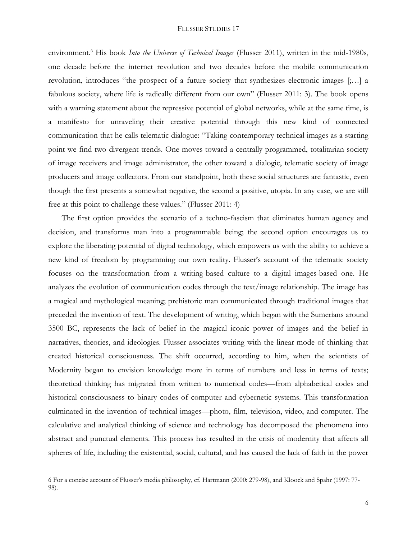environment.<sup>6</sup> His book *Into the Universe of Technical Images* (Flusser 2011), written in the mid-1980s, one decade before the internet revolution and two decades before the mobile communication revolution, introduces "the prospect of a future society that synthesizes electronic images [;…] a fabulous society, where life is radically different from our own" (Flusser 2011: 3). The book opens with a warning statement about the repressive potential of global networks, while at the same time, is a manifesto for unraveling their creative potential through this new kind of connected communication that he calls telematic dialogue: "Taking contemporary technical images as a starting point we find two divergent trends. One moves toward a centrally programmed, totalitarian society of image receivers and image administrator, the other toward a dialogic, telematic society of image producers and image collectors. From our standpoint, both these social structures are fantastic, even though the first presents a somewhat negative, the second a positive, utopia. In any case, we are still free at this point to challenge these values." (Flusser 2011: 4)

The first option provides the scenario of a techno-fascism that eliminates human agency and decision, and transforms man into a programmable being; the second option encourages us to explore the liberating potential of digital technology, which empowers us with the ability to achieve a new kind of freedom by programming our own reality. Flusser's account of the telematic society focuses on the transformation from a writing-based culture to a digital images-based one. He analyzes the evolution of communication codes through the text/image relationship. The image has a magical and mythological meaning; prehistoric man communicated through traditional images that preceded the invention of text. The development of writing, which began with the Sumerians around 3500 BC, represents the lack of belief in the magical iconic power of images and the belief in narratives, theories, and ideologies. Flusser associates writing with the linear mode of thinking that created historical consciousness. The shift occurred, according to him, when the scientists of Modernity began to envision knowledge more in terms of numbers and less in terms of texts; theoretical thinking has migrated from written to numerical codes—from alphabetical codes and historical consciousness to binary codes of computer and cybernetic systems. This transformation culminated in the invention of technical images—photo, film, television, video, and computer. The calculative and analytical thinking of science and technology has decomposed the phenomena into abstract and punctual elements. This process has resulted in the crisis of modernity that affects all spheres of life, including the existential, social, cultural, and has caused the lack of faith in the power

<sup>6</sup> For a concise account of Flusser's media philosophy, cf. Hartmann (2000: 279-98), and Kloock and Spahr (1997: 77- 98).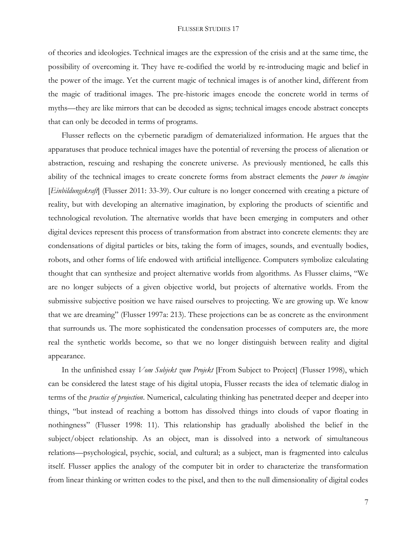of theories and ideologies. Technical images are the expression of the crisis and at the same time, the possibility of overcoming it. They have re-codified the world by re-introducing magic and belief in the power of the image. Yet the current magic of technical images is of another kind, different from the magic of traditional images. The pre-historic images encode the concrete world in terms of myths—they are like mirrors that can be decoded as signs; technical images encode abstract concepts that can only be decoded in terms of programs.

Flusser reflects on the cybernetic paradigm of dematerialized information. He argues that the apparatuses that produce technical images have the potential of reversing the process of alienation or abstraction, rescuing and reshaping the concrete universe. As previously mentioned, he calls this ability of the technical images to create concrete forms from abstract elements the *power to imagine* [*Einbildungskraft*] (Flusser 2011: 33-39). Our culture is no longer concerned with creating a picture of reality, but with developing an alternative imagination, by exploring the products of scientific and technological revolution. The alternative worlds that have been emerging in computers and other digital devices represent this process of transformation from abstract into concrete elements: they are condensations of digital particles or bits, taking the form of images, sounds, and eventually bodies, robots, and other forms of life endowed with artificial intelligence. Computers symbolize calculating thought that can synthesize and project alternative worlds from algorithms. As Flusser claims, "We are no longer subjects of a given objective world, but projects of alternative worlds. From the submissive subjective position we have raised ourselves to projecting. We are growing up. We know that we are dreaming" (Flusser 1997a: 213). These projections can be as concrete as the environment that surrounds us. The more sophisticated the condensation processes of computers are, the more real the synthetic worlds become, so that we no longer distinguish between reality and digital appearance.

In the unfinished essay *Vom Subjekt zum Projekt* [From Subject to Project] (Flusser 1998), which can be considered the latest stage of his digital utopia, Flusser recasts the idea of telematic dialog in terms of the *practice of projection*. Numerical, calculating thinking has penetrated deeper and deeper into things, "but instead of reaching a bottom has dissolved things into clouds of vapor floating in nothingness" (Flusser 1998: 11). This relationship has gradually abolished the belief in the subject/object relationship. As an object, man is dissolved into a network of simultaneous relations—psychological, psychic, social, and cultural; as a subject, man is fragmented into calculus itself. Flusser applies the analogy of the computer bit in order to characterize the transformation from linear thinking or written codes to the pixel, and then to the null dimensionality of digital codes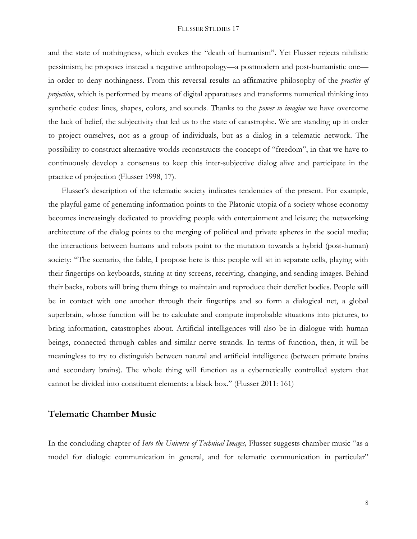and the state of nothingness, which evokes the "death of humanism". Yet Flusser rejects nihilistic pessimism; he proposes instead a negative anthropology—a postmodern and post-humanistic one in order to deny nothingness. From this reversal results an affirmative philosophy of the *practice of projection*, which is performed by means of digital apparatuses and transforms numerical thinking into synthetic codes: lines, shapes, colors, and sounds. Thanks to the *power to imagine* we have overcome the lack of belief, the subjectivity that led us to the state of catastrophe. We are standing up in order to project ourselves, not as a group of individuals, but as a dialog in a telematic network. The possibility to construct alternative worlds reconstructs the concept of "freedom", in that we have to continuously develop a consensus to keep this inter-subjective dialog alive and participate in the practice of projection (Flusser 1998, 17).

Flusser's description of the telematic society indicates tendencies of the present. For example, the playful game of generating information points to the Platonic utopia of a society whose economy becomes increasingly dedicated to providing people with entertainment and leisure; the networking architecture of the dialog points to the merging of political and private spheres in the social media; the interactions between humans and robots point to the mutation towards a hybrid (post-human) society: "The scenario, the fable, I propose here is this: people will sit in separate cells, playing with their fingertips on keyboards, staring at tiny screens, receiving, changing, and sending images. Behind their backs, robots will bring them things to maintain and reproduce their derelict bodies. People will be in contact with one another through their fingertips and so form a dialogical net, a global superbrain, whose function will be to calculate and compute improbable situations into pictures, to bring information, catastrophes about. Artificial intelligences will also be in dialogue with human beings, connected through cables and similar nerve strands. In terms of function, then, it will be meaningless to try to distinguish between natural and artificial intelligence (between primate brains and secondary brains). The whole thing will function as a cybernetically controlled system that cannot be divided into constituent elements: a black box." (Flusser 2011: 161)

## **Telematic Chamber Music**

In the concluding chapter of *Into the Universe of Technical Images,* Flusser suggests chamber music "as a model for dialogic communication in general, and for telematic communication in particular"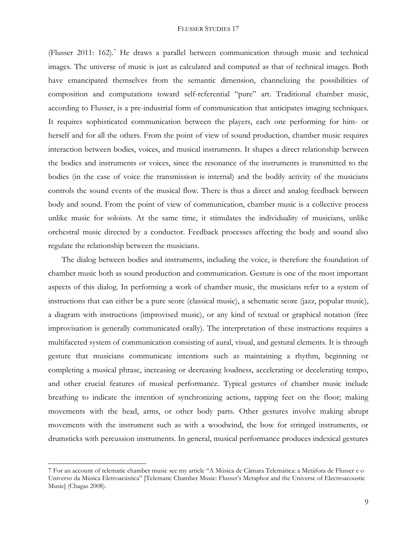(Flusser 2011: 162).<sup>7</sup> He draws a parallel between communication through music and technical images. The universe of music is just as calculated and computed as that of technical images. Both have emancipated themselves from the semantic dimension, channelizing the possibilities of composition and computations toward self-referential "pure" art. Traditional chamber music, according to Flusser, is a pre-industrial form of communication that anticipates imaging techniques. It requires sophisticated communication between the players, each one performing for him- or herself and for all the others. From the point of view of sound production, chamber music requires interaction between bodies, voices, and musical instruments. It shapes a direct relationship between the bodies and instruments or voices, since the resonance of the instruments is transmitted to the bodies (in the case of voice the transmission is internal) and the bodily activity of the musicians controls the sound events of the musical flow. There is thus a direct and analog feedback between body and sound. From the point of view of communication, chamber music is a collective process unlike music for soloists. At the same time, it stimulates the individuality of musicians, unlike orchestral music directed by a conductor. Feedback processes affecting the body and sound also regulate the relationship between the musicians.

The dialog between bodies and instruments, including the voice, is therefore the foundation of chamber music both as sound production and communication. Gesture is one of the most important aspects of this dialog. In performing a work of chamber music, the musicians refer to a system of instructions that can either be a pure score (classical music), a schematic score (jazz, popular music), a diagram with instructions (improvised music), or any kind of textual or graphical notation (free improvisation is generally communicated orally). The interpretation of these instructions requires a multifaceted system of communication consisting of aural, visual, and gestural elements. It is through gesture that musicians communicate intentions such as maintaining a rhythm, beginning or completing a musical phrase, increasing or decreasing loudness, accelerating or decelerating tempo, and other crucial features of musical performance. Typical gestures of chamber music include breathing to indicate the intention of synchronizing actions, tapping feet on the floor; making movements with the head, arms, or other body parts. Other gestures involve making abrupt movements with the instrument such as with a woodwind, the bow for stringed instruments, or drumsticks with percussion instruments. In general, musical performance produces indexical gestures

<sup>7</sup> For an account of telematic chamber music see my article "A Música de Câmara Telemática: a Metáfora de Flusser e o Universo da Música Eletroacústica" [Telematic Chamber Music: Flusser's Metaphor and the Universe of Electroacoustic Music] (Chagas 2008).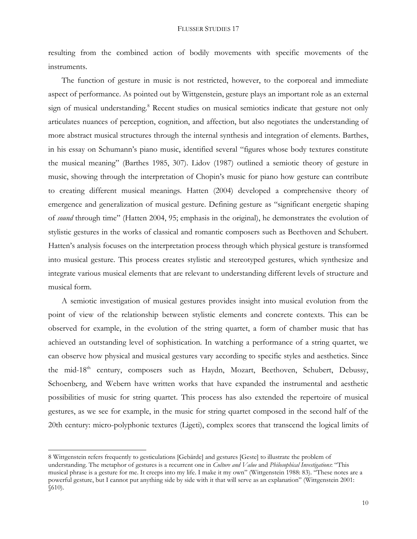resulting from the combined action of bodily movements with specific movements of the instruments.

The function of gesture in music is not restricted, however, to the corporeal and immediate aspect of performance. As pointed out by Wittgenstein, gesture plays an important role as an external sign of musical understanding.<sup>8</sup> Recent studies on musical semiotics indicate that gesture not only articulates nuances of perception, cognition, and affection, but also negotiates the understanding of more abstract musical structures through the internal synthesis and integration of elements. Barthes, in his essay on Schumann's piano music, identified several "figures whose body textures constitute the musical meaning" (Barthes 1985, 307). Lidov (1987) outlined a semiotic theory of gesture in music, showing through the interpretation of Chopin's music for piano how gesture can contribute to creating different musical meanings. Hatten (2004) developed a comprehensive theory of emergence and generalization of musical gesture. Defining gesture as "significant energetic shaping of *sound* through time" (Hatten 2004, 95; emphasis in the original), he demonstrates the evolution of stylistic gestures in the works of classical and romantic composers such as Beethoven and Schubert. Hatten's analysis focuses on the interpretation process through which physical gesture is transformed into musical gesture. This process creates stylistic and stereotyped gestures, which synthesize and integrate various musical elements that are relevant to understanding different levels of structure and musical form.

A semiotic investigation of musical gestures provides insight into musical evolution from the point of view of the relationship between stylistic elements and concrete contexts. This can be observed for example, in the evolution of the string quartet, a form of chamber music that has achieved an outstanding level of sophistication. In watching a performance of a string quartet, we can observe how physical and musical gestures vary according to specific styles and aesthetics. Since the mid-18th century, composers such as Haydn, Mozart, Beethoven, Schubert, Debussy, Schoenberg, and Webern have written works that have expanded the instrumental and aesthetic possibilities of music for string quartet. This process has also extended the repertoire of musical gestures, as we see for example, in the music for string quartet composed in the second half of the 20th century: micro-polyphonic textures (Ligeti), complex scores that transcend the logical limits of

<sup>8</sup> Wittgenstein refers frequently to gesticulations [Gebärde] and gestures [Geste] to illustrate the problem of understanding. The metaphor of gestures is a recurrent one in *Culture and Value* and *Philosophical Investigations*: "This musical phrase is a gesture for me. It creeps into my life. I make it my own" (Wittgenstein 1988: 83). "These notes are a powerful gesture, but I cannot put anything side by side with it that will serve as an explanation" (Wittgenstein 2001: §610).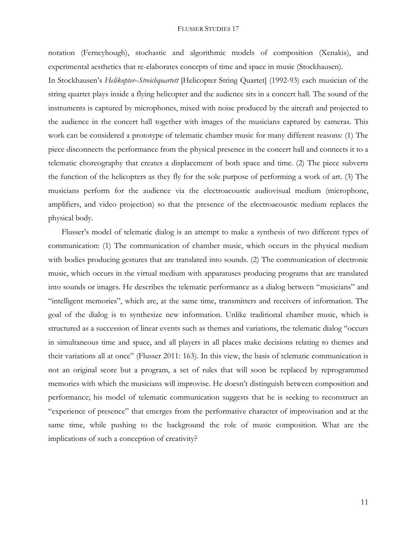notation (Ferneyhough), stochastic and algorithmic models of composition (Xenakis), and experimental aesthetics that re-elaborates concepts of time and space in music (Stockhausen).

In Stockhausen's *Helikopter–Streichquartett* [Helicopter String Quartet] (1992-93) each musician of the string quartet plays inside a flying helicopter and the audience sits in a concert hall. The sound of the instruments is captured by microphones, mixed with noise produced by the aircraft and projected to the audience in the concert hall together with images of the musicians captured by cameras. This work can be considered a prototype of telematic chamber music for many different reasons: (1) The piece disconnects the performance from the physical presence in the concert hall and connects it to a telematic choreography that creates a displacement of both space and time. (2) The piece subverts the function of the helicopters as they fly for the sole purpose of performing a work of art. (3) The musicians perform for the audience via the electroacoustic audiovisual medium (microphone, amplifiers, and video projection) so that the presence of the electroacoustic medium replaces the physical body.

Flusser's model of telematic dialog is an attempt to make a synthesis of two different types of communication: (1) The communication of chamber music, which occurs in the physical medium with bodies producing gestures that are translated into sounds. (2) The communication of electronic music, which occurs in the virtual medium with apparatuses producing programs that are translated into sounds or images. He describes the telematic performance as a dialog between "musicians" and "intelligent memories", which are, at the same time, transmitters and receivers of information. The goal of the dialog is to synthesize new information. Unlike traditional chamber music, which is structured as a succession of linear events such as themes and variations, the telematic dialog "occurs in simultaneous time and space, and all players in all places make decisions relating to themes and their variations all at once" (Flusser 2011: 163). In this view, the basis of telematic communication is not an original score but a program, a set of rules that will soon be replaced by reprogrammed memories with which the musicians will improvise. He doesn't distinguish between composition and performance; his model of telematic communication suggests that he is seeking to reconstruct an "experience of presence" that emerges from the performative character of improvisation and at the same time, while pushing to the background the role of music composition. What are the implications of such a conception of creativity?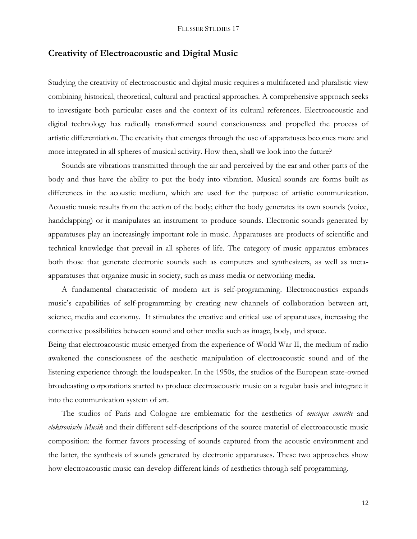## **Creativity of Electroacoustic and Digital Music**

Studying the creativity of electroacoustic and digital music requires a multifaceted and pluralistic view combining historical, theoretical, cultural and practical approaches. A comprehensive approach seeks to investigate both particular cases and the context of its cultural references. Electroacoustic and digital technology has radically transformed sound consciousness and propelled the process of artistic differentiation. The creativity that emerges through the use of apparatuses becomes more and more integrated in all spheres of musical activity. How then, shall we look into the future?

Sounds are vibrations transmitted through the air and perceived by the ear and other parts of the body and thus have the ability to put the body into vibration. Musical sounds are forms built as differences in the acoustic medium, which are used for the purpose of artistic communication. Acoustic music results from the action of the body; either the body generates its own sounds (voice, handclapping) or it manipulates an instrument to produce sounds. Electronic sounds generated by apparatuses play an increasingly important role in music. Apparatuses are products of scientific and technical knowledge that prevail in all spheres of life. The category of music apparatus embraces both those that generate electronic sounds such as computers and synthesizers, as well as metaapparatuses that organize music in society, such as mass media or networking media.

A fundamental characteristic of modern art is self-programming. Electroacoustics expands music's capabilities of self-programming by creating new channels of collaboration between art, science, media and economy. It stimulates the creative and critical use of apparatuses, increasing the connective possibilities between sound and other media such as image, body, and space.

Being that electroacoustic music emerged from the experience of World War II, the medium of radio awakened the consciousness of the aesthetic manipulation of electroacoustic sound and of the listening experience through the loudspeaker. In the 1950s, the studios of the European state-owned broadcasting corporations started to produce electroacoustic music on a regular basis and integrate it into the communication system of art.

The studios of Paris and Cologne are emblematic for the aesthetics of *musique concrète* and *elektronische Musik* and their different self-descriptions of the source material of electroacoustic music composition: the former favors processing of sounds captured from the acoustic environment and the latter, the synthesis of sounds generated by electronic apparatuses. These two approaches show how electroacoustic music can develop different kinds of aesthetics through self-programming.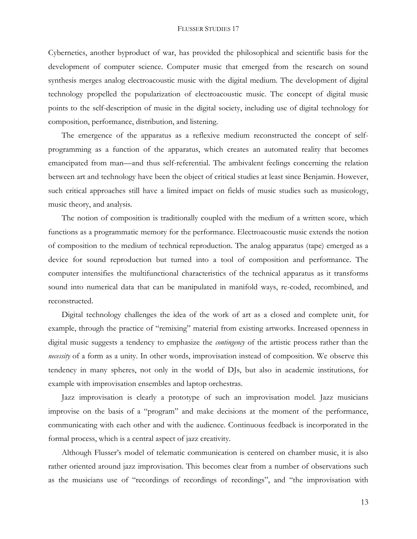Cybernetics, another byproduct of war, has provided the philosophical and scientific basis for the development of computer science. Computer music that emerged from the research on sound synthesis merges analog electroacoustic music with the digital medium. The development of digital technology propelled the popularization of electroacoustic music. The concept of digital music points to the self-description of music in the digital society, including use of digital technology for composition, performance, distribution, and listening.

The emergence of the apparatus as a reflexive medium reconstructed the concept of selfprogramming as a function of the apparatus, which creates an automated reality that becomes emancipated from man—and thus self-referential. The ambivalent feelings concerning the relation between art and technology have been the object of critical studies at least since Benjamin. However, such critical approaches still have a limited impact on fields of music studies such as musicology, music theory, and analysis.

The notion of composition is traditionally coupled with the medium of a written score, which functions as a programmatic memory for the performance. Electroacoustic music extends the notion of composition to the medium of technical reproduction. The analog apparatus (tape) emerged as a device for sound reproduction but turned into a tool of composition and performance. The computer intensifies the multifunctional characteristics of the technical apparatus as it transforms sound into numerical data that can be manipulated in manifold ways, re-coded, recombined, and reconstructed.

Digital technology challenges the idea of the work of art as a closed and complete unit, for example, through the practice of "remixing" material from existing artworks. Increased openness in digital music suggests a tendency to emphasize the *contingency* of the artistic process rather than the *necessity* of a form as a unity. In other words, improvisation instead of composition. We observe this tendency in many spheres, not only in the world of DJs, but also in academic institutions, for example with improvisation ensembles and laptop orchestras.

Jazz improvisation is clearly a prototype of such an improvisation model. Jazz musicians improvise on the basis of a "program" and make decisions at the moment of the performance, communicating with each other and with the audience. Continuous feedback is incorporated in the formal process, which is a central aspect of jazz creativity.

Although Flusser's model of telematic communication is centered on chamber music, it is also rather oriented around jazz improvisation. This becomes clear from a number of observations such as the musicians use of "recordings of recordings of recordings", and "the improvisation with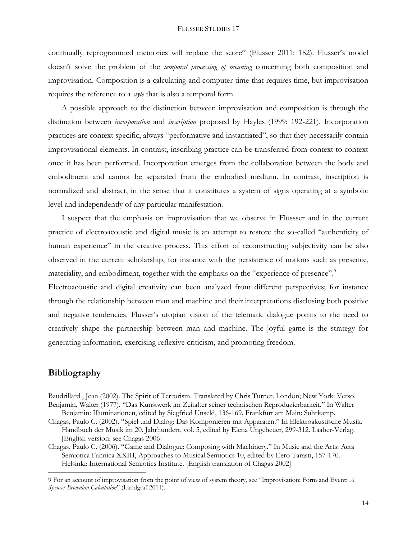continually reprogrammed memories will replace the score" (Flusser 2011: 182). Flusser's model doesn't solve the problem of the *temporal processing of meaning* concerning both composition and improvisation. Composition is a calculating and computer time that requires time, but improvisation requires the reference to a *style* that is also a temporal form.

A possible approach to the distinction between improvisation and composition is through the distinction between *incorporation* and *inscription* proposed by Hayles (1999: 192-221). Incorporation practices are context specific, always "performative and instantiated", so that they necessarily contain improvisational elements. In contrast, inscribing practice can be transferred from context to context once it has been performed. Incorporation emerges from the collaboration between the body and embodiment and cannot be separated from the embodied medium. In contrast, inscription is normalized and abstract, in the sense that it constitutes a system of signs operating at a symbolic level and independently of any particular manifestation.

I suspect that the emphasis on improvisation that we observe in Flussser and in the current practice of electroacoustic and digital music is an attempt to restore the so-called "authenticity of human experience" in the creative process. This effort of reconstructing subjectivity can be also observed in the current scholarship, for instance with the persistence of notions such as presence, materiality, and embodiment, together with the emphasis on the "experience of presence".<sup>9</sup>

Electroacoustic and digital creativity can been analyzed from different perspectives; for instance through the relationship between man and machine and their interpretations disclosing both positive and negative tendencies. Flusser's utopian vision of the telematic dialogue points to the need to creatively shape the partnership between man and machine. The joyful game is the strategy for generating information, exercising reflexive criticism, and promoting freedom.

## **Bibliography**

l

Baudrillard , Jean (2002). The Spirit of Terrorism. Translated by Chris Turner. London; New York: Verso. Benjamin, Walter (1977). "Das Kunstwerk im Zeitalter seiner technischen Reproduzierbarkeit." In Walter

Benjamin: Illuminationen, edited by Siegfried Unseld, 136-169. Frankfurt am Main: Suhrkamp. Chagas, Paulo C. (2002). "Spiel und Dialog: Das Komponieren mit Apparaten." In Elektroakustische Musik.

Handbuch der Musik im 20. Jahrhundert, vol. 5, edited by Elena Ungeheuer, 299-312. Laaber-Verlag. [English version: see Chagas 2006]

Chagas, Paulo C. (2006). "Game and Dialogue: Composing with Machinery." In Music and the Arts: Acta Semiotica Fannica XXIII, Approaches to Musical Semiotics 10, edited by Eero Tarasti, 157-170. Helsinki: International Semiotics Institute. [English translation of Chagas 2002]

<sup>9</sup> For an account of improvisation from the point of view of system theory, see "Improvisation: Form and Event: *A Spencer-Brownian Calculation*" (Landgraf 2011).